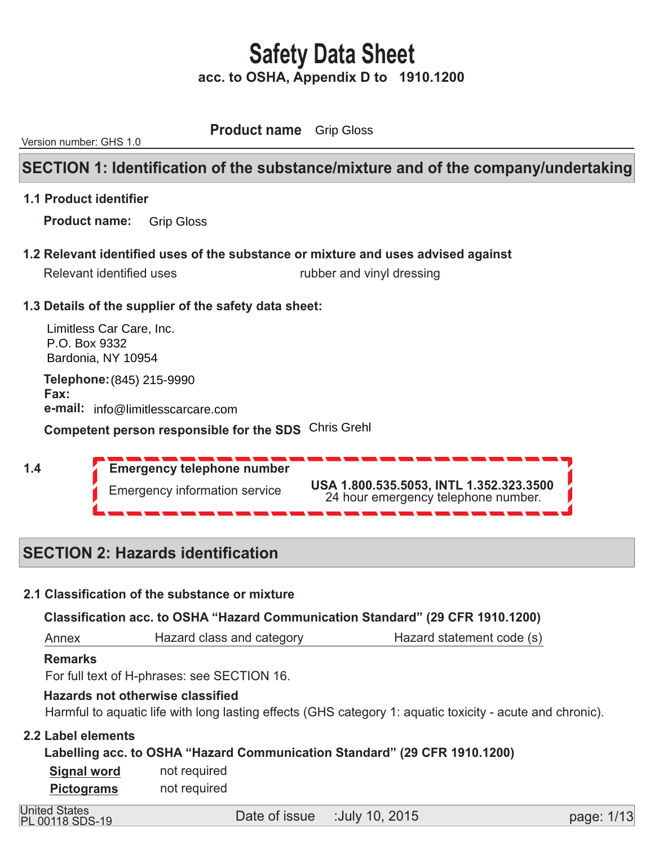**Product name** Grip Gloss

Version number: GHS 1.0

# **SECTION 1: Identification of the substance/mixture and of the company/undertaking**

#### **1.1 Product identifier**

 **Product name:**  Grip Gloss

 **1.2 Relevant identified uses of the substance or mixture and uses advised against** 

| Relevant identified uses | rubber and vinyl dressing |
|--------------------------|---------------------------|
|--------------------------|---------------------------|

## **1.3 Details of the supplier of the safety data sheet:**

Limitless Car Care, Inc. P.O. Box 9332 Bardonia, NY 10954

**Telephone: (845) 215-9990 Fax:**  $\overline{a}$ **e-mail:** info@limitlesscarcare.com

**Competent person responsible for the SDS** Chris Grehl

 **1.4** 

 **Emergency telephone number**  Emergency information service **USA 1.800.535.5053, INTL 1.352.323.3500** 24 hour emergency telephone number.

# **SECTION 2: Hazards identification**

## **2.1 Classification of the substance or mixture**

 **Classification acc. to OSHA "Hazard Communication Standard" (29 CFR 1910.1200)** 

 Annex Hazard class and category **Hazard statement code (s)** 

#### **Remarks**

For full text of H-phrases: see SECTION 16.

#### **Hazards not otherwise classified**

Harmful to aquatic life with long lasting effects (GHS category 1: aquatic toxicity - acute and chronic).

## **2.2 Label elements**

 **Labelling acc. to OSHA "Hazard Communication Standard" (29 CFR 1910.1200)** 

 not required not required  **Signal word Pictograms** 

PL 00118 SDS-19

United States<br>
<u>Date of issue :July 10, 2015</u><br>
United States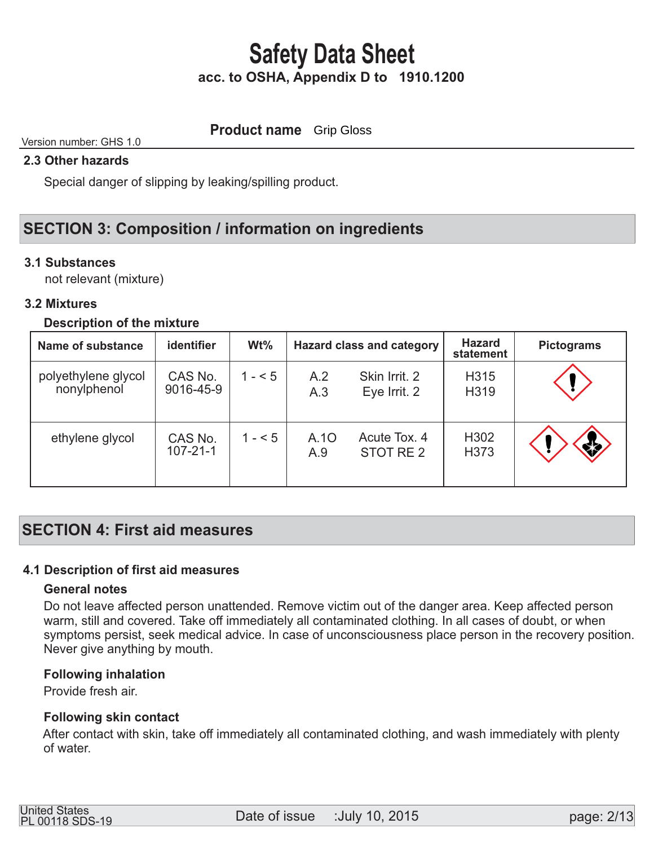**Product name** Grip Gloss

# Version number: GHS 1.0

# **2.3 Other hazards**

Special danger of slipping by leaking/spilling product.

# **SECTION 3: Composition / information on ingredients**

## **3.1 Substances**

not relevant (mixture)

## **3.2 Mixtures**

#### **Description of the mixture**

| Name of substance                  | identifier                | $Wt\%$  |             | <b>Hazard class and category</b> | <b>Hazard</b><br>statement | <b>Pictograms</b> |
|------------------------------------|---------------------------|---------|-------------|----------------------------------|----------------------------|-------------------|
| polyethylene glycol<br>nonylphenol | CAS No.<br>9016-45-9      | $1 - 5$ | A.2<br>A.3  | Skin Irrit. 2<br>Eye Irrit. 2    | H315<br>H319               |                   |
| ethylene glycol                    | CAS No.<br>$107 - 21 - 1$ | $1 - 5$ | A.10<br>A.9 | Acute Tox, 4<br>STOT RE 2        | H <sub>302</sub><br>H373   | *                 |

# **SECTION 4: First aid measures**

## **4.1 Description of first aid measures**

#### **General notes**

 Do not leave affected person unattended. Remove victim out of the danger area. Keep affected person warm, still and covered. Take off immediately all contaminated clothing. In all cases of doubt, or when symptoms persist, seek medical advice. In case of unconsciousness place person in the recovery position. Never give anything by mouth.

#### **Following inhalation**

Provide fresh air.

## **Following skin contact**

 After contact with skin, take off immediately all contaminated clothing, and wash immediately with plenty of water.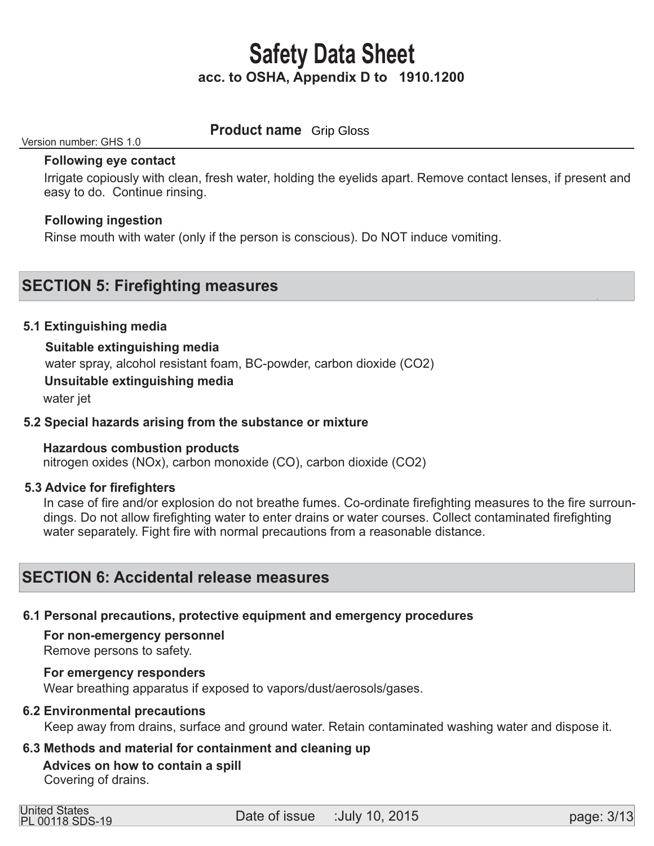# **Product name** Grip Gloss

#### Version number: GHS 1.0

#### **Following eye contact**

 Irrigate copiously with clean, fresh water, holding the eyelids apart. Remove contact lenses, if present and easy to do. Continue rinsing.

## **Following ingestion**

Rinse mouth with water (only if the person is conscious). Do NOT induce vomiting.

# **SECTION 5: Firefighting measures**

#### **5.1 Extinguishing media**

#### **Suitable extinguishing media**

water spray, alcohol resistant foam, BC-powder, carbon dioxide (CO2)

#### **Unsuitable extinguishing media**

water jet

#### **5.2 Special hazards arising from the substance or mixture**

## **Hazardous combustion products**

nitrogen oxides (NOx), carbon monoxide (CO), carbon dioxide (CO2)

#### **5.3 Advice for firefighters**

 In case of fire and/or explosion do not breathe fumes. Co-ordinate firefighting measures to the fire surroun dings. Do not allow firefighting water to enter drains or water courses. Collect contaminated firefighting water separately. Fight fire with normal precautions from a reasonable distance.

# **SECTION 6: Accidental release measures**

## **6.1 Personal precautions, protective equipment and emergency procedures**

 **For non-emergency personnel** 

Remove persons to safety.

#### **For emergency responders**

Wear breathing apparatus if exposed to vapors/dust/aerosols/gases.

#### **6.2 Environmental precautions**

Keep away from drains, surface and ground water. Retain contaminated washing water and dispose it.

## **6.3 Methods and material for containment and cleaning up**

# **Advices on how to contain a spill**

Covering of drains.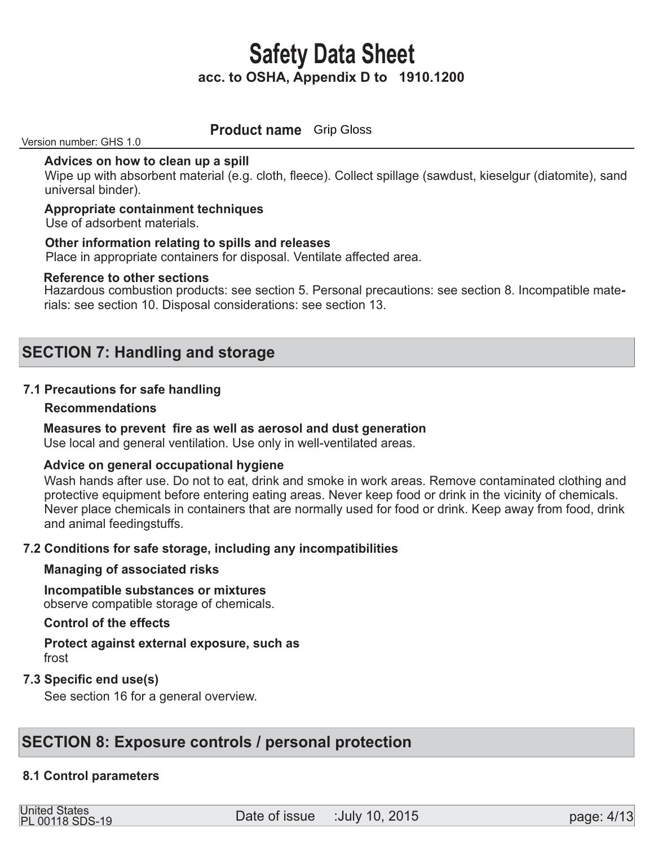**Product name** Grip Gloss

Version number: GHS 1.0

#### **Advices on how to clean up a spill**

Wipe up with absorbent material (e.g. cloth, fleece). Collect spillage (sawdust, kieselgur (diatomite), sand universal binder).

#### **Appropriate containment techniques**

Use of adsorbent materials.

#### **Other information relating to spills and releases**

Place in appropriate containers for disposal. Ventilate affected area.

#### **Reference to other sections**

Hazardous combustion products: see section 5. Personal precautions: see section 8. Incompatible materials: see section 10. Disposal considerations: see section 13.

# **SECTION 7: Handling and storage**

## **7.1 Precautions for safe handling**

#### **Recommendations**

## **Measures to prevent fire as well as aerosol and dust generation**

Use local and general ventilation. Use only in well-ventilated areas.

#### **Advice on general occupational hygiene**

 Wash hands after use. Do not to eat, drink and smoke in work areas. Remove contaminated clothing and protective equipment before entering eating areas. Never keep food or drink in the vicinity of chemicals. Never place chemicals in containers that are normally used for food or drink. Keep away from food, drink and animal feedingstuffs.

## **7.2 Conditions for safe storage, including any incompatibilities**

#### **Managing of associated risks**

#### **Incompatible substances or mixtures**  observe compatible storage of chemicals.

#### **Control of the effects**

## **Protect against external exposure, such as**  frost

## **7.3 Specific end use(s)**

See section 16 for a general overview.

# **SECTION 8: Exposure controls / personal protection**

## **8.1 Control parameters**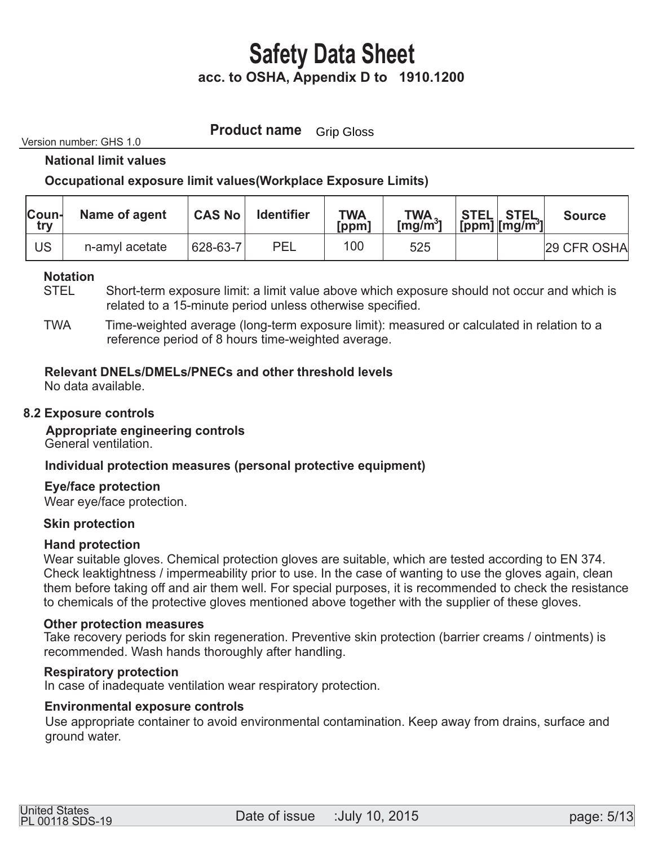**Product name** Grip Gloss

Version number: GHS 1.0

 **National limit values** 

## **Occupational exposure limit values(Workplace Exposure Limits)**

| <b>Coun-</b><br>try | Name of agent  | <b>CAS No</b> | <b>Identifier</b> | <b>TWA</b><br>[ppm] | $TWA$ <sub>1</sub> | $ \texttt{STEL} \texttt{STEL} \n[ppm]   [mg/m^3] $ | <b>Source</b> |
|---------------------|----------------|---------------|-------------------|---------------------|--------------------|----------------------------------------------------|---------------|
| US                  | n-amyl acetate | 628-63-7      | PEL               | 100                 | 525                |                                                    | 29 CFR OSHA   |

#### **Notation**

- STEL Short-term exposure limit: a limit value above which exposure should not occur and which is related to a 15-minute period unless otherwise specified.
- TWA Time-weighted average (long-term exposure limit): measured or calculated in relation to a reference period of 8 hours time-weighted average.

## **Relevant DNELs/DMELs/PNECs and other threshold levels**

No data available.

#### **8.2 Exposure controls**

 **Appropriate engineering controls**  General ventilation.

## **Individual protection measures (personal protective equipment)**

#### **Eye/face protection**

Wear eye/face protection.

## **Skin protection**

#### **Hand protection**

 Wear suitable gloves. Chemical protection gloves are suitable, which are tested according to EN 374. Check leaktightness / impermeability prior to use. In the case of wanting to use the gloves again, clean them before taking off and air them well. For special purposes, it is recommended to check the resistance to chemicals of the protective gloves mentioned above together with the supplier of these gloves.

#### **Other protection measures**

 Take recovery periods for skin regeneration. Preventive skin protection (barrier creams / ointments) is recommended. Wash hands thoroughly after handling.

#### **Respiratory protection**

In case of inadequate ventilation wear respiratory protection.

#### **Environmental exposure controls**

 Use appropriate container to avoid environmental contamination. Keep away from drains, surface and ground water.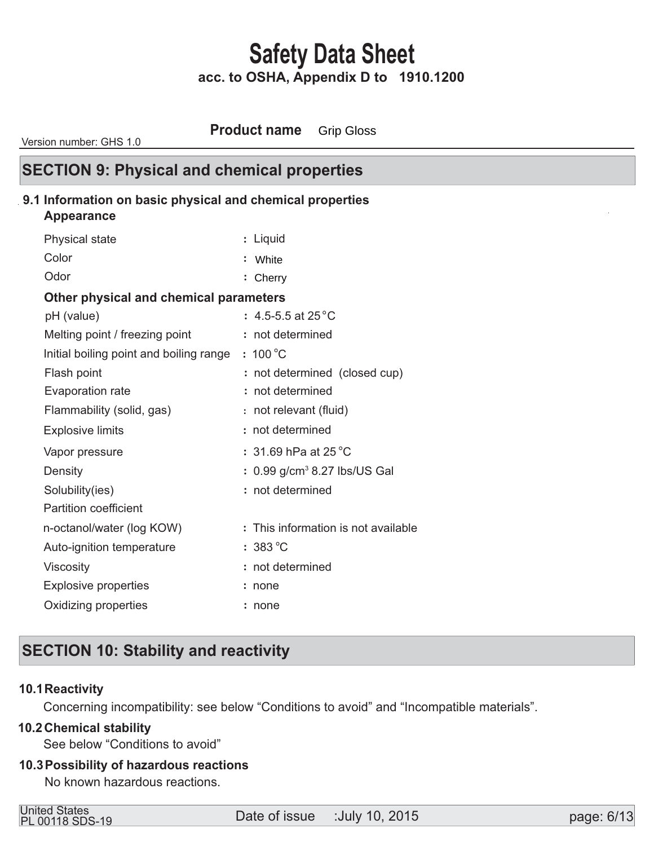**Product name** Grip Gloss

Version number: GHS 1.0

# **SECTION 9: Physical and chemical properties**

## **9.1 Information on basic physical and chemical properties**

#### **Appearance**

| Physical state                          | : Liquid                                   |
|-----------------------------------------|--------------------------------------------|
| Color                                   | White                                      |
| Odor                                    | : Cherry                                   |
| Other physical and chemical parameters  |                                            |
| pH (value)                              | : 4.5-5.5 at 25 $^{\circ}$ C               |
| Melting point / freezing point          | : not determined                           |
| Initial boiling point and boiling range | $: 100^{\circ}$ C                          |
| Flash point                             | : not determined (closed cup)              |
| Evaporation rate                        | : not determined                           |
| Flammability (solid, gas)               | : not relevant (fluid)                     |
| <b>Explosive limits</b>                 | : not determined                           |
| Vapor pressure                          | : 31.69 hPa at 25 $^{\circ}$ C             |
| Density                                 | $: 0.99$ g/cm <sup>3</sup> 8.27 lbs/US Gal |
| Solubility(ies)                         | : not determined                           |
| <b>Partition coefficient</b>            |                                            |
| n-octanol/water (log KOW)               | : This information is not available        |
| Auto-ignition temperature               | $:383^{\circ}$ C                           |
| Viscosity                               | : not determined                           |
| <b>Explosive properties</b>             | none                                       |
| Oxidizing properties                    | none                                       |
|                                         |                                            |

# **SECTION 10: Stability and reactivity**

#### **10.1 Reactivity**

Concerning incompatibility: see below "Conditions to avoid" and "Incompatible materials".

## **Chemical stability 10.2**

See below "Conditions to avoid"

#### **Possibility of hazardous reactions 10.3**

No known hazardous reactions.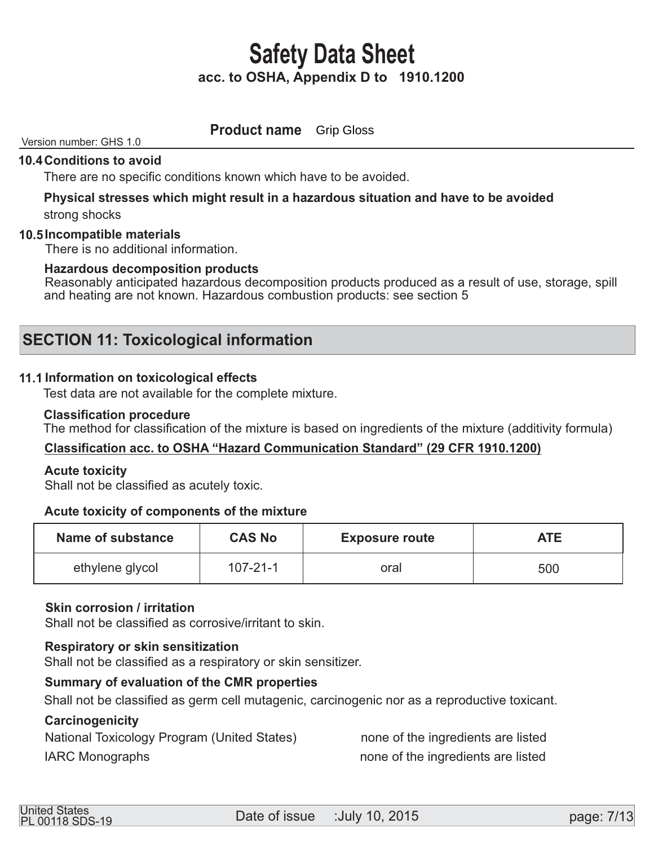**Product name Grip Gloss** 

# Version number: GHS 1.0

# **10.4 Conditions to avoid**

There are no specific conditions known which have to be avoided.

# **Physical stresses which might result in a hazardous situation and have to be avoided**

strong shocks

#### **Incompatible materials 10.5**

There is no additional information.

#### **Hazardous decomposition products**

Reasonably anticipated hazardous decomposition products produced as a result of use, storage, spill and heating are not known. Hazardous combustion products: see section 5

# **SECTION 11: Toxicological information**

#### **11.1 Information on toxicological effects**

Test data are not available for the complete mixture.

#### **Classification procedure**

The method for classification of the mixture is based on ingredients of the mixture (additivity formula)

## **Classification acc. to OSHA "Hazard Communication Standard" (29 CFR 1910.1200)**

#### **Acute toxicity**

Shall not be classified as acutely toxic.

#### **Acute toxicity of components of the mixture**

| Name of substance | <b>CAS No</b>  | <b>Exposure route</b> | <b>ATE</b> |
|-------------------|----------------|-----------------------|------------|
| ethylene glycol   | $107 - 21 - 1$ | oral                  | 500        |

#### **Skin corrosion / irritation**

Shall not be classified as corrosive/irritant to skin.

#### **Respiratory or skin sensitization**

Shall not be classified as a respiratory or skin sensitizer.

#### **Summary of evaluation of the CMR properties**

Shall not be classified as germ cell mutagenic, carcinogenic nor as a reproductive toxicant.

#### **Carcinogenicity**

National Toxicology Program (United States) hone of the ingredients are listed

IARC Monographs **IARC** Monographs **none** of the ingredients are listed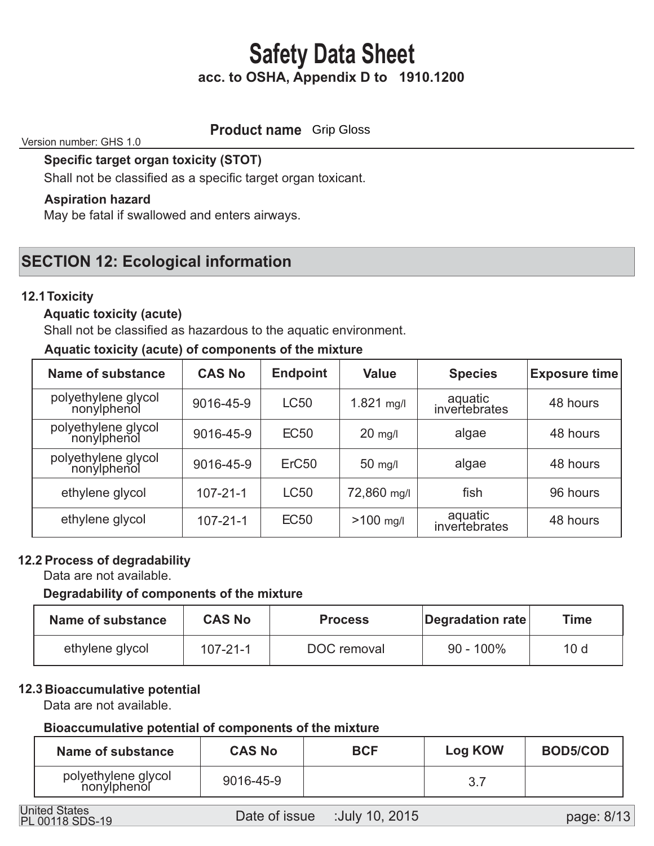# **Product name** Grip Gloss

Version number: GHS 1.0

 **Specific target organ toxicity (STOT)** 

Shall not be classified as a specific target organ toxicant.

# **Aspiration hazard**

May be fatal if swallowed and enters airways.

# **SECTION 12: Ecological information**

# **12.1 Toxicity**

# **Aquatic toxicity (acute)**

Shall not be classified as hazardous to the aquatic environment.

## **Aquatic toxicity (acute) of components of the mixture**

| <b>Name of substance</b>           | <b>CAS No</b>  | <b>Endpoint</b>   | <b>Value</b> | <b>Species</b>           | <b>Exposure time</b> |
|------------------------------------|----------------|-------------------|--------------|--------------------------|----------------------|
| polyethylene glycol<br>nonylphenol | 9016-45-9      | <b>LC50</b>       | $1.821$ mg/l | aquatic<br>invertebrates | 48 hours             |
| polyethylene glycol<br>nonylphenol | 9016-45-9      | <b>EC50</b>       | $20$ mg/l    | algae                    | 48 hours             |
| polyethylene glycol<br>nonylphenol | 9016-45-9      | ErC <sub>50</sub> | $50$ mg/l    | algae                    | 48 hours             |
| ethylene glycol                    | $107 - 21 - 1$ | <b>LC50</b>       | 72,860 mg/l  | fish                     | 96 hours             |
| ethylene glycol                    | $107 - 21 - 1$ | <b>EC50</b>       | $>100$ mg/l  | aquatic<br>invertebrates | 48 hours             |

# **12.2 Process of degradability**

Data are not available.

## **Degradability of components of the mixture**

| Name of substance | <b>CAS No</b>  | <b>Process</b> | Degradation rate | Time            |
|-------------------|----------------|----------------|------------------|-----------------|
| ethylene glycol   | $107 - 21 - 1$ | DOC removal    | $90 - 100\%$     | 10 <sub>d</sub> |

## **12.3 Bioaccumulative potential**

Data are not available.

## **Bioaccumulative potential of components of the mixture**

| Name of substance                  | <b>CAS No</b> | <b>BCF</b> | <b>Log KOW</b> | <b>BOD5/COD</b> |
|------------------------------------|---------------|------------|----------------|-----------------|
| polyethylene glycol<br>nonylphenol | 9016-45-9     |            |                |                 |

PL 00118 SDS-19

page: 8/13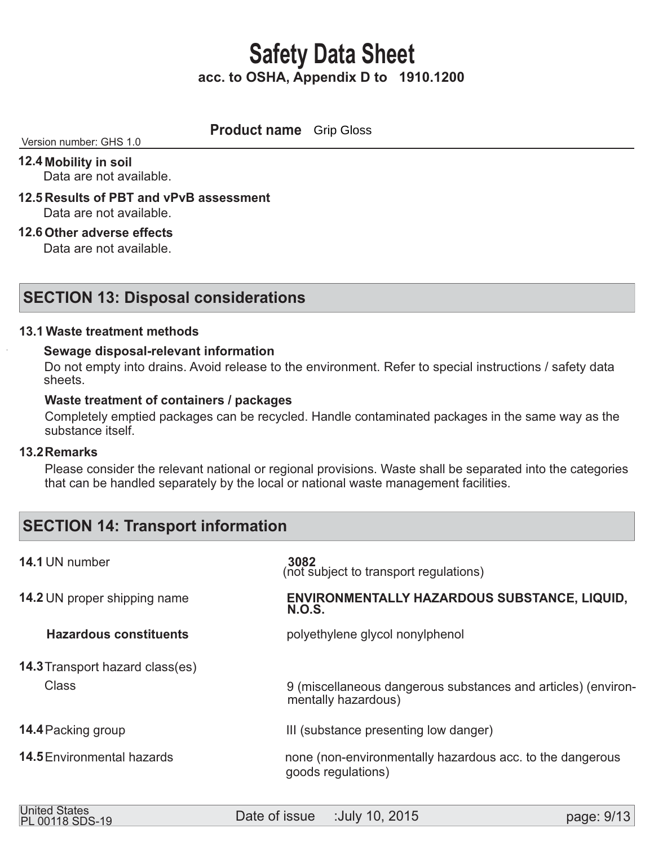**Product name** Grip Gloss

#### Version number: GHS 1.0

 **12.4 Mobility in soil** 

Data are not available.

- **12.5 Results of PBT and vPvB assessment**  Data are not available.
- **12.6 Other adverse effects**

Data are not available.

# **SECTION 13: Disposal considerations**

## **Waste treatment methods 13.1**

## **Sewage disposal-relevant information**

 Do not empty into drains. Avoid release to the environment. Refer to special instructions / safety data sheets.

#### **Waste treatment of containers / packages**

 Completely emptied packages can be recycled. Handle contaminated packages in the same way as the substance itself.

#### **Remarks 13.2**

 Please consider the relevant national or regional provisions. Waste shall be separated into the categories that can be handled separately by the local or national waste management facilities.

# **SECTION 14: Transport information**

| 14.1 UN number                         | 3082<br>(not subject to transport regulations)                                       |
|----------------------------------------|--------------------------------------------------------------------------------------|
| <b>14.2 UN proper shipping name</b>    | ENVIRONMENTALLY HAZARDOUS SUBSTANCE, LIQUID,<br>N.O.S.                               |
| <b>Hazardous constituents</b>          | polyethylene glycol nonylphenol                                                      |
| <b>14.3 Transport hazard class(es)</b> |                                                                                      |
| <b>Class</b>                           | 9 (miscellaneous dangerous substances and articles) (environ-<br>mentally hazardous) |
| <b>14.4 Packing group</b>              | III (substance presenting low danger)                                                |
| <b>14.5</b> Environmental hazards      | none (non-environmentally hazardous acc. to the dangerous<br>goods regulations)      |
|                                        |                                                                                      |

| PL 00118 SDS-19 | <b>United States</b> | Date of issue | :July 10, 2015 | page: 9/13 |
|-----------------|----------------------|---------------|----------------|------------|
|-----------------|----------------------|---------------|----------------|------------|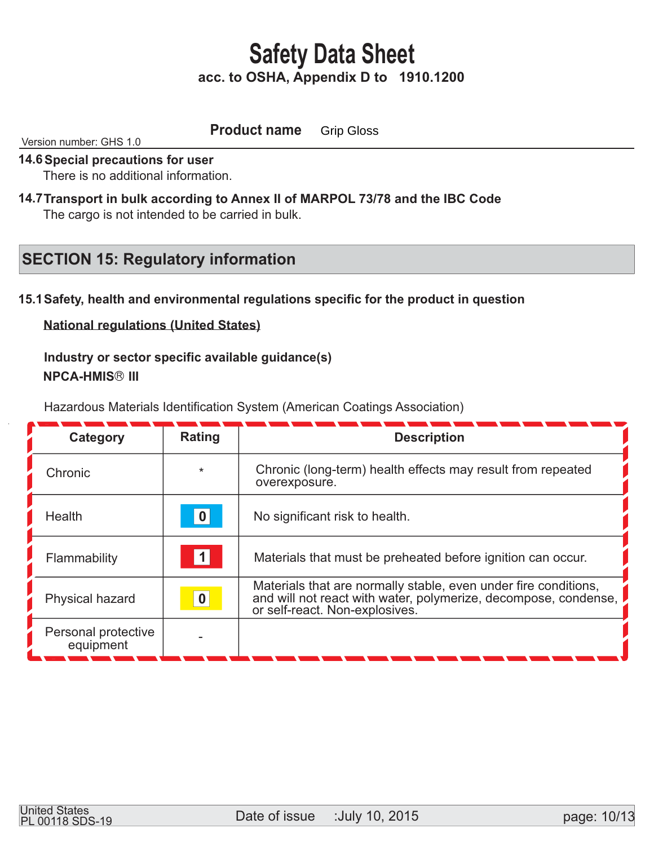**Product name** Grip Gloss

Version number: GHS 1.0

#### **14.6 Special precautions for user**

There is no additional information.

14.7 Transport in bulk according to Annex II of MARPOL 73/78 and the IBC Code The cargo is not intended to be carried in bulk.

# **SECTION 15: Regulatory information**

# **15.1 Safety, health and environmental regulations specific for the product in question**

**National regulations (United States)**

 **Industry or sector specific available guidance(s) NPCA-HMIS® III** 

Hazardous Materials Identification System (American Coatings Association)

| Category                         | Rating           | <b>Description</b>                                                                                                                                                   |
|----------------------------------|------------------|----------------------------------------------------------------------------------------------------------------------------------------------------------------------|
| Chronic                          | $\star$          | Chronic (long-term) health effects may result from repeated<br>overexposure.                                                                                         |
| <b>Health</b>                    | 0                | No significant risk to health.                                                                                                                                       |
| Flammability                     |                  | Materials that must be preheated before ignition can occur.                                                                                                          |
| Physical hazard                  | $\boldsymbol{0}$ | Materials that are normally stable, even under fire conditions,<br>and will not react with water, polymerize, decompose, condense,<br>or self-react. Non-explosives. |
| Personal protective<br>equipment |                  |                                                                                                                                                                      |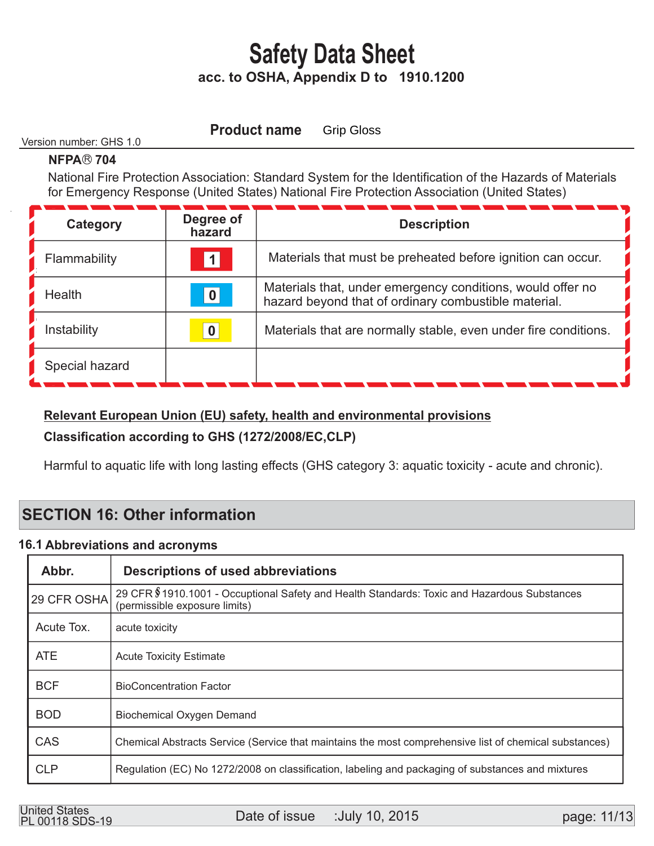Version number: GHS 1.0

**Product name** 

Grip Gloss

# **NFPA® 704**

 National Fire Protection Association: Standard System for the Identification of the Hazards of Materials for Emergency Response (United States) National Fire Protection Association (United States)

| Category       | Degree of<br>hazard | <b>Description</b>                                                                                                 |
|----------------|---------------------|--------------------------------------------------------------------------------------------------------------------|
| Flammability   | $\vert$ 1 $\vert$   | Materials that must be preheated before ignition can occur.                                                        |
| Health         | $\vert 0 \vert$     | Materials that, under emergency conditions, would offer no<br>hazard beyond that of ordinary combustible material. |
| Instability    | $\boldsymbol{0}$    | Materials that are normally stable, even under fire conditions.                                                    |
| Special hazard |                     |                                                                                                                    |

# **Relevant European Union (EU) safety, health and environmental provisions**

# **Classification according to GHS (1272/2008/EC,CLP)**

Harmful to aquatic life with long lasting effects (GHS category 3: aquatic toxicity - acute and chronic).

# **SECTION 16: Other information**

# **16.1 Abbreviations and acronyms**

| Abbr.       | <b>Descriptions of used abbreviations</b>                                                                                     |
|-------------|-------------------------------------------------------------------------------------------------------------------------------|
| 29 CFR OSHA | 29 CFR \$1910.1001 - Occuptional Safety and Health Standards: Toxic and Hazardous Substances<br>(permissible exposure limits) |
| Acute Tox.  | acute toxicity                                                                                                                |
| <b>ATE</b>  | <b>Acute Toxicity Estimate</b>                                                                                                |
| <b>BCF</b>  | <b>BioConcentration Factor</b>                                                                                                |
| <b>BOD</b>  | <b>Biochemical Oxygen Demand</b>                                                                                              |
| CAS         | Chemical Abstracts Service (Service that maintains the most comprehensive list of chemical substances)                        |
| <b>CLP</b>  | Regulation (EC) No 1272/2008 on classification, labeling and packaging of substances and mixtures                             |

United States<br>
Date of issue :July 10, 2015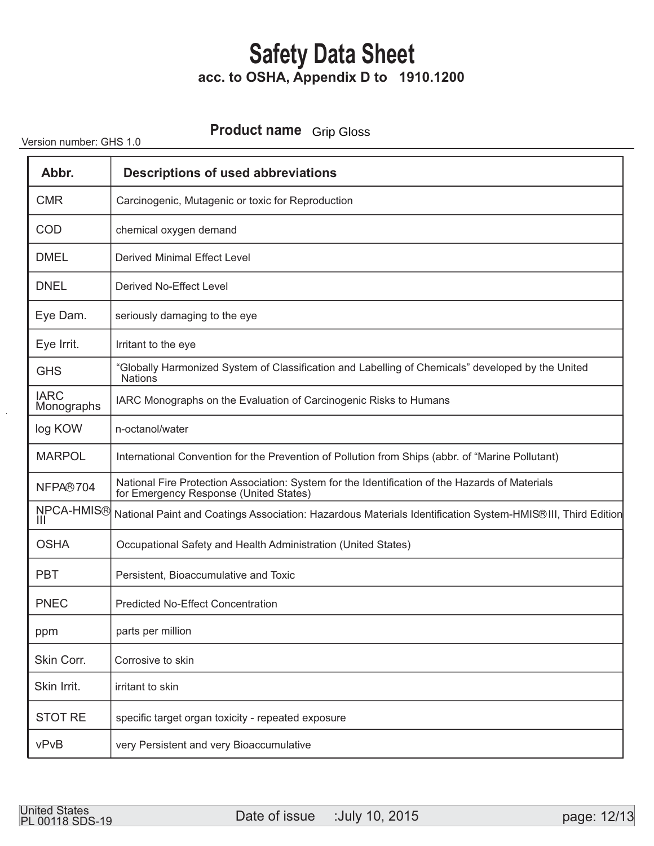# **Product name** Grip Gloss

Version number: GHS 1.0

| Abbr.                     | <b>Descriptions of used abbreviations</b>                                                                                                 |
|---------------------------|-------------------------------------------------------------------------------------------------------------------------------------------|
| <b>CMR</b>                | Carcinogenic, Mutagenic or toxic for Reproduction                                                                                         |
| <b>COD</b>                | chemical oxygen demand                                                                                                                    |
| <b>DMEL</b>               | <b>Derived Minimal Effect Level</b>                                                                                                       |
| <b>DNEL</b>               | Derived No-Effect Level                                                                                                                   |
| Eye Dam.                  | seriously damaging to the eye                                                                                                             |
| Eye Irrit.                | Irritant to the eye                                                                                                                       |
| <b>GHS</b>                | "Globally Harmonized System of Classification and Labelling of Chemicals" developed by the United<br><b>Nations</b>                       |
| <b>IARC</b><br>Monographs | IARC Monographs on the Evaluation of Carcinogenic Risks to Humans                                                                         |
| log KOW                   | n-octanol/water                                                                                                                           |
| <b>MARPOL</b>             | International Convention for the Prevention of Pollution from Ships (abbr. of "Marine Pollutant)                                          |
| NFPA®704                  | National Fire Protection Association: System for the Identification of the Hazards of Materials<br>for Emergency Response (United States) |
| <b>NPCA-HMIS®</b>         | National Paint and Coatings Association: Hazardous Materials Identification System-HMIS® III, Third Edition                               |
| <b>OSHA</b>               | Occupational Safety and Health Administration (United States)                                                                             |
| <b>PBT</b>                | Persistent, Bioaccumulative and Toxic                                                                                                     |
| <b>PNEC</b>               | <b>Predicted No-Effect Concentration</b>                                                                                                  |
| ppm                       | parts per million                                                                                                                         |
| Skin Corr.                | Corrosive to skin                                                                                                                         |
| Skin Irrit.               | irritant to skin                                                                                                                          |
| <b>STOT RE</b>            | specific target organ toxicity - repeated exposure                                                                                        |
| vPvB                      | very Persistent and very Bioaccumulative                                                                                                  |